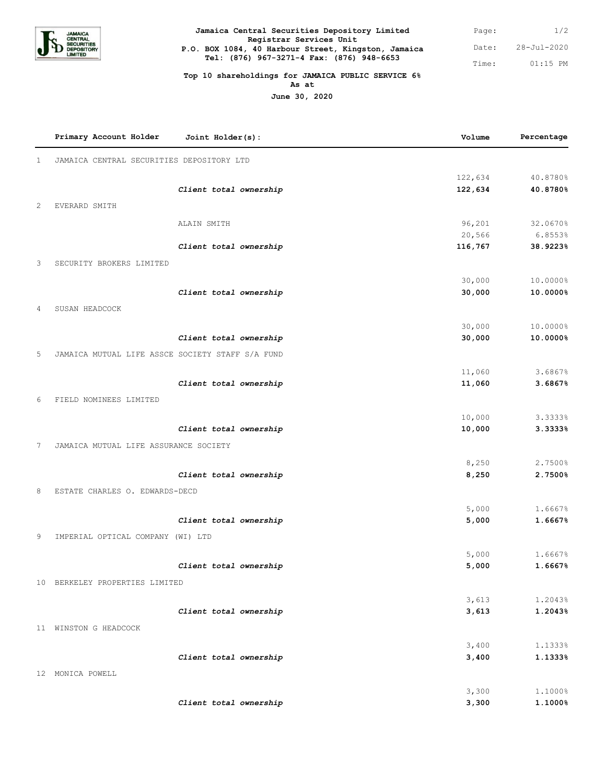

| Jamaica Central Securities Depository Limited       |  |  |  |  |  |
|-----------------------------------------------------|--|--|--|--|--|
| Registrar Services Unit                             |  |  |  |  |  |
| P.O. BOX 1084, 40 Harbour Street, Kingston, Jamaica |  |  |  |  |  |
| Tel: (876) 967-3271-4 Fax: (876) 948-6653           |  |  |  |  |  |
|                                                     |  |  |  |  |  |

1/2 28-Jul-2020 Date: 01:15 PM Page: Time:

## **Top 10 shareholdings for JAMAICA PUBLIC SERVICE 6%**

**As at**

**June 30, 2020**

|              | Primary Account Holder                           | Joint Holder(s):       | Volume         | Percentage         |
|--------------|--------------------------------------------------|------------------------|----------------|--------------------|
| $\mathbf{1}$ | JAMAICA CENTRAL SECURITIES DEPOSITORY LTD        |                        |                |                    |
|              |                                                  |                        | 122,634        | 40.8780%           |
|              |                                                  | Client total ownership | 122,634        | 40.8780%           |
| 2            | EVERARD SMITH                                    |                        |                |                    |
|              |                                                  | ALAIN SMITH            | 96,201         | 32.0670%           |
|              |                                                  |                        | 20,566         | 6.8553%            |
|              |                                                  | Client total ownership | 116,767        | 38.9223%           |
| 3            | SECURITY BROKERS LIMITED                         |                        |                |                    |
|              |                                                  |                        | 30,000         | 10.0000%           |
|              |                                                  | Client total ownership | 30,000         | 10.0000%           |
| 4            | SUSAN HEADCOCK                                   |                        |                |                    |
|              |                                                  |                        | 30,000         | 10.0000%           |
|              |                                                  | Client total ownership | 30,000         | 10.0000%           |
| 5            | JAMAICA MUTUAL LIFE ASSCE SOCIETY STAFF S/A FUND |                        |                |                    |
|              |                                                  |                        | 11,060         | 3.6867%            |
|              |                                                  | Client total ownership | 11,060         | 3.6867%            |
| 6            | FIELD NOMINEES LIMITED                           |                        |                |                    |
|              |                                                  |                        | 10,000         | 3.3333%            |
|              |                                                  | Client total ownership | 10,000         | 3.3333%            |
| 7            | JAMAICA MUTUAL LIFE ASSURANCE SOCIETY            |                        |                |                    |
|              |                                                  |                        | 8,250          | 2.7500%            |
|              |                                                  | Client total ownership | 8,250          | 2.7500%            |
| 8            | ESTATE CHARLES O. EDWARDS-DECD                   |                        |                |                    |
|              |                                                  |                        | 5,000          | 1.6667%            |
|              |                                                  | Client total ownership | 5,000          | 1.6667%            |
| 9            | IMPERIAL OPTICAL COMPANY (WI) LTD                |                        |                |                    |
|              |                                                  |                        | 5,000          | 1.6667%            |
|              |                                                  | Client total ownership | 5,000          | 1.6667%            |
|              | 10 BERKELEY PROPERTIES LIMITED                   |                        |                |                    |
|              |                                                  |                        | 3,613          | 1.2043%            |
|              |                                                  | Client total ownership | 3,613          | 1.2043%            |
|              | 11 WINSTON G HEADCOCK                            |                        |                |                    |
|              |                                                  |                        | 3,400          | 1.1333%            |
|              |                                                  | Client total ownership | 3,400          | 1.1333%            |
|              | 12 MONICA POWELL                                 |                        |                |                    |
|              |                                                  |                        |                |                    |
|              |                                                  | Client total ownership | 3,300<br>3,300 | 1.1000%<br>1.1000% |
|              |                                                  |                        |                |                    |